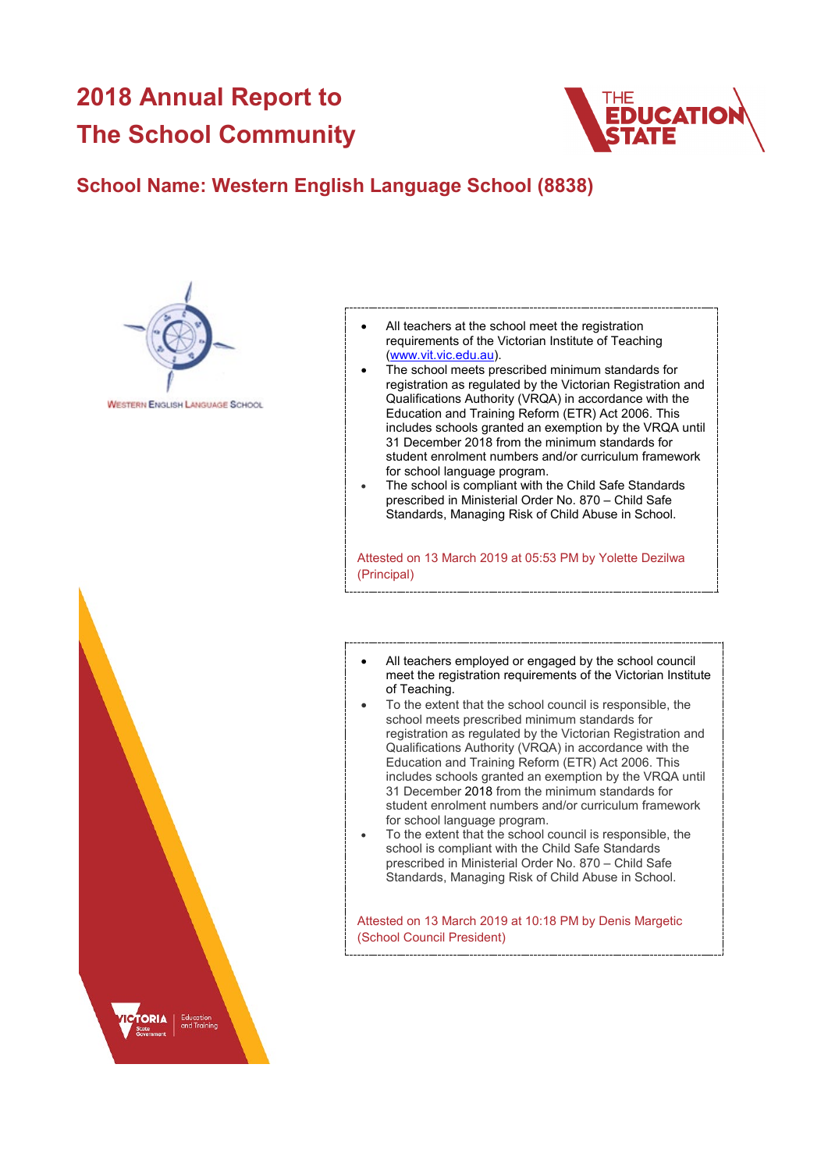## **2018 Annual Report to The School Community**



## **School Name: Western English Language School (8838)**



**WESTERN ENGLISH LANGUAGE SCHOOL** 



- All teachers at the school meet the registration requirements of the Victorian Institute of Teaching [\(www.vit.vic.edu.au\)](https://www.vit.vic.edu.au/).
- The school meets prescribed minimum standards for registration as regulated by the Victorian Registration and Qualifications Authority (VRQA) in accordance with the Education and Training Reform (ETR) Act 2006. This includes schools granted an exemption by the VRQA until 31 December 2018 from the minimum standards for student enrolment numbers and/or curriculum framework for school language program.
- The school is compliant with the Child Safe Standards prescribed in Ministerial Order No. 870 – Child Safe Standards, Managing Risk of Child Abuse in School.

Attested on 13 March 2019 at 05:53 PM by Yolette Dezilwa (Principal)

- All teachers employed or engaged by the school council meet the registration requirements of the Victorian Institute of Teaching.
- To the extent that the school council is responsible, the school meets prescribed minimum standards for registration as regulated by the Victorian Registration and Qualifications Authority (VRQA) in accordance with the Education and Training Reform (ETR) Act 2006. This includes schools granted an exemption by the VRQA until 31 December 2018 from the minimum standards for student enrolment numbers and/or curriculum framework for school language program.
- To the extent that the school council is responsible, the school is compliant with the Child Safe Standards prescribed in Ministerial Order No. 870 – Child Safe Standards, Managing Risk of Child Abuse in School.

Attested on 13 March 2019 at 10:18 PM by Denis Margetic (School Council President)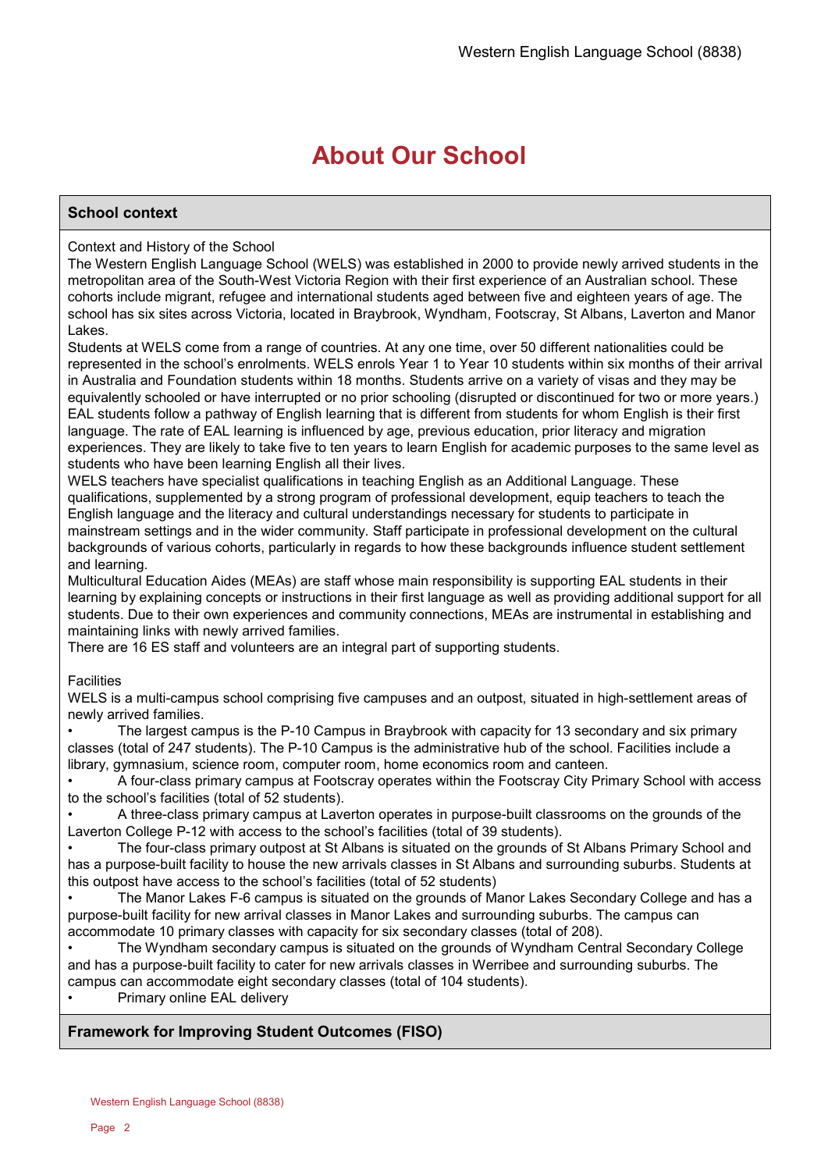## **About Our School**

## **School context**

## Context and History of the School

The Western English Language School (WELS) was established in 2000 to provide newly arrived students in the metropolitan area of the South-West Victoria Region with their first experience of an Australian school. These cohorts include migrant, refugee and international students aged between five and eighteen years of age. The school has six sites across Victoria, located in Braybrook, Wyndham, Footscray, St Albans, Laverton and Manor Lakes.

Students at WELS come from a range of countries. At any one time, over 50 different nationalities could be represented in the school's enrolments. WELS enrols Year 1 to Year 10 students within six months of their arrival in Australia and Foundation students within 18 months. Students arrive on a variety of visas and they may be equivalently schooled or have interrupted or no prior schooling (disrupted or discontinued for two or more years.) EAL students follow a pathway of English learning that is different from students for whom English is their first language. The rate of EAL learning is influenced by age, previous education, prior literacy and migration experiences. They are likely to take five to ten years to learn English for academic purposes to the same level as students who have been learning English all their lives.

WELS teachers have specialist qualifications in teaching English as an Additional Language. These qualifications, supplemented by a strong program of professional development, equip teachers to teach the English language and the literacy and cultural understandings necessary for students to participate in mainstream settings and in the wider community. Staff participate in professional development on the cultural backgrounds of various cohorts, particularly in regards to how these backgrounds influence student settlement and learning.

Multicultural Education Aides (MEAs) are staff whose main responsibility is supporting EAL students in their learning by explaining concepts or instructions in their first language as well as providing additional support for all students. Due to their own experiences and community connections, MEAs are instrumental in establishing and maintaining links with newly arrived families.

There are 16 ES staff and volunteers are an integral part of supporting students.

## **Facilities**

WELS is a multi-campus school comprising five campuses and an outpost, situated in high-settlement areas of newly arrived families.

• The largest campus is the P-10 Campus in Braybrook with capacity for 13 secondary and six primary classes (total of 247 students). The P-10 Campus is the administrative hub of the school. Facilities include a library, gymnasium, science room, computer room, home economics room and canteen.

• A four-class primary campus at Footscray operates within the Footscray City Primary School with access to the school's facilities (total of 52 students).

• A three-class primary campus at Laverton operates in purpose-built classrooms on the grounds of the Laverton College P-12 with access to the school's facilities (total of 39 students).

• The four-class primary outpost at St Albans is situated on the grounds of St Albans Primary School and has a purpose-built facility to house the new arrivals classes in St Albans and surrounding suburbs. Students at this outpost have access to the school's facilities (total of 52 students)

• The Manor Lakes F-6 campus is situated on the grounds of Manor Lakes Secondary College and has a purpose-built facility for new arrival classes in Manor Lakes and surrounding suburbs. The campus can accommodate 10 primary classes with capacity for six secondary classes (total of 208).

• The Wyndham secondary campus is situated on the grounds of Wyndham Central Secondary College and has a purpose-built facility to cater for new arrivals classes in Werribee and surrounding suburbs. The campus can accommodate eight secondary classes (total of 104 students).

Primary online EAL delivery

## **Framework for Improving Student Outcomes (FISO)**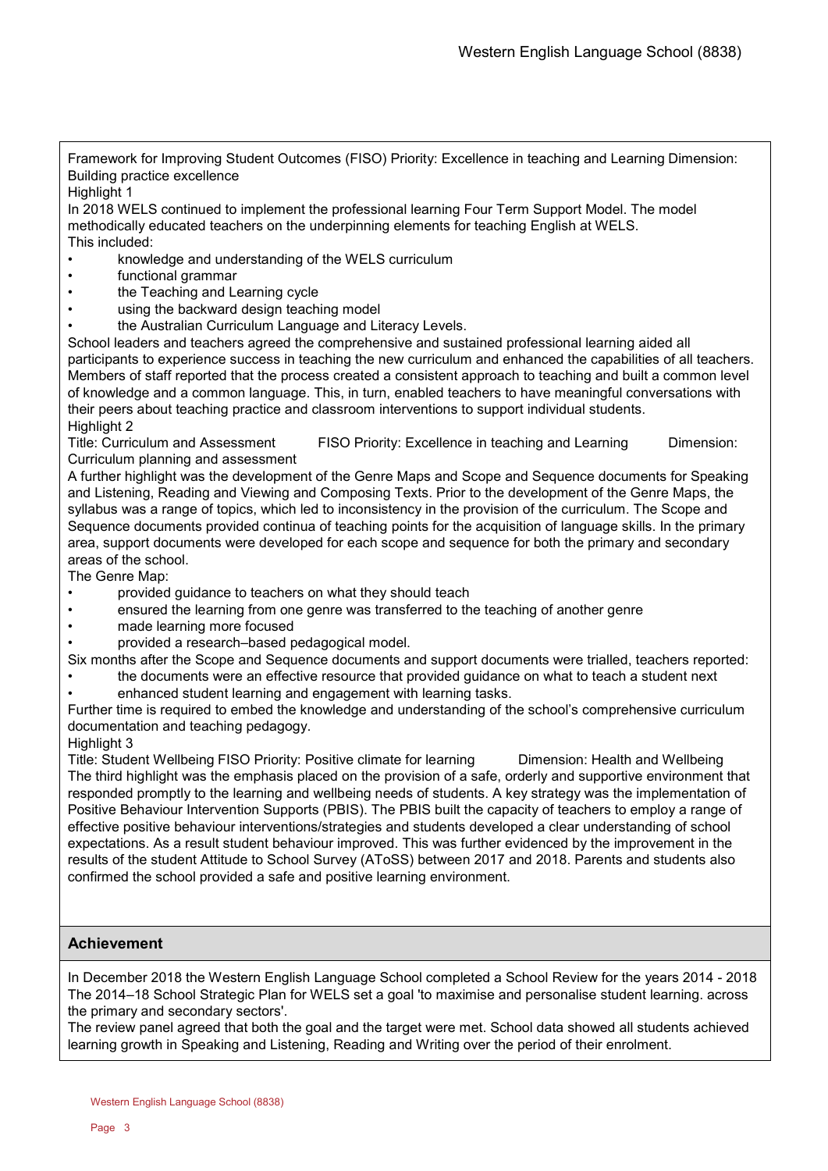Framework for Improving Student Outcomes (FISO) Priority: Excellence in teaching and Learning Dimension: Building practice excellence

## Highlight 1

In 2018 WELS continued to implement the professional learning Four Term Support Model. The model methodically educated teachers on the underpinning elements for teaching English at WELS. This included:

- knowledge and understanding of the WELS curriculum
- functional grammar
- the Teaching and Learning cycle
- using the backward design teaching model
- the Australian Curriculum Language and Literacy Levels.

School leaders and teachers agreed the comprehensive and sustained professional learning aided all participants to experience success in teaching the new curriculum and enhanced the capabilities of all teachers. Members of staff reported that the process created a consistent approach to teaching and built a common level of knowledge and a common language. This, in turn, enabled teachers to have meaningful conversations with their peers about teaching practice and classroom interventions to support individual students. Highlight 2

Title: Curriculum and Assessment FISO Priority: Excellence in teaching and Learning Dimension: Curriculum planning and assessment

A further highlight was the development of the Genre Maps and Scope and Sequence documents for Speaking and Listening, Reading and Viewing and Composing Texts. Prior to the development of the Genre Maps, the syllabus was a range of topics, which led to inconsistency in the provision of the curriculum. The Scope and Sequence documents provided continua of teaching points for the acquisition of language skills. In the primary area, support documents were developed for each scope and sequence for both the primary and secondary areas of the school.

The Genre Map:

- provided guidance to teachers on what they should teach
- ensured the learning from one genre was transferred to the teaching of another genre
- made learning more focused
- provided a research–based pedagogical model.

Six months after the Scope and Sequence documents and support documents were trialled, teachers reported:

- the documents were an effective resource that provided guidance on what to teach a student next
- enhanced student learning and engagement with learning tasks.

Further time is required to embed the knowledge and understanding of the school's comprehensive curriculum documentation and teaching pedagogy.

## Highlight 3

Title: Student Wellbeing FISO Priority: Positive climate for learning Dimension: Health and Wellbeing The third highlight was the emphasis placed on the provision of a safe, orderly and supportive environment that responded promptly to the learning and wellbeing needs of students. A key strategy was the implementation of Positive Behaviour Intervention Supports (PBIS). The PBIS built the capacity of teachers to employ a range of effective positive behaviour interventions/strategies and students developed a clear understanding of school expectations. As a result student behaviour improved. This was further evidenced by the improvement in the results of the student Attitude to School Survey (AToSS) between 2017 and 2018. Parents and students also confirmed the school provided a safe and positive learning environment.

## **Achievement**

In December 2018 the Western English Language School completed a School Review for the years 2014 - 2018 The 2014–18 School Strategic Plan for WELS set a goal 'to maximise and personalise student learning. across the primary and secondary sectors'.

The review panel agreed that both the goal and the target were met. School data showed all students achieved learning growth in Speaking and Listening, Reading and Writing over the period of their enrolment.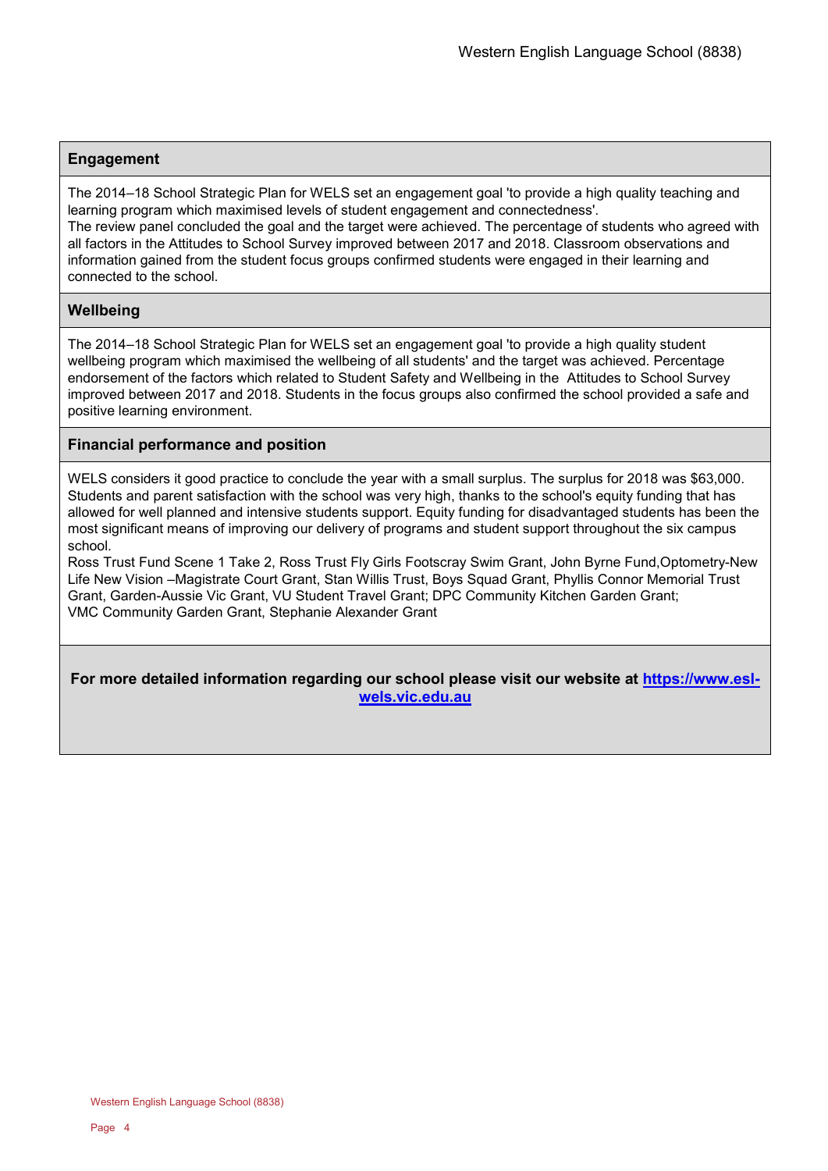## **Engagement**

The 2014–18 School Strategic Plan for WELS set an engagement goal 'to provide a high quality teaching and learning program which maximised levels of student engagement and connectedness'.

The review panel concluded the goal and the target were achieved. The percentage of students who agreed with all factors in the Attitudes to School Survey improved between 2017 and 2018. Classroom observations and information gained from the student focus groups confirmed students were engaged in their learning and connected to the school.

## **Wellbeing**

The 2014–18 School Strategic Plan for WELS set an engagement goal 'to provide a high quality student wellbeing program which maximised the wellbeing of all students' and the target was achieved. Percentage endorsement of the factors which related to Student Safety and Wellbeing in the Attitudes to School Survey improved between 2017 and 2018. Students in the focus groups also confirmed the school provided a safe and positive learning environment.

## **Financial performance and position**

WELS considers it good practice to conclude the year with a small surplus. The surplus for 2018 was \$63,000. Students and parent satisfaction with the school was very high, thanks to the school's equity funding that has allowed for well planned and intensive students support. Equity funding for disadvantaged students has been the most significant means of improving our delivery of programs and student support throughout the six campus school.

Ross Trust Fund Scene 1 Take 2, Ross Trust Fly Girls Footscray Swim Grant, John Byrne Fund,Optometry-New Life New Vision –Magistrate Court Grant, Stan Willis Trust, Boys Squad Grant, Phyllis Connor Memorial Trust Grant, Garden-Aussie Vic Grant, VU Student Travel Grant; DPC Community Kitchen Garden Grant; VMC Community Garden Grant, Stephanie Alexander Grant

**For more detailed information regarding our school please visit our website at [https://www.esl](https://www.esl-wels.vic.edu.au/)[wels.vic.edu.au](https://www.esl-wels.vic.edu.au/)**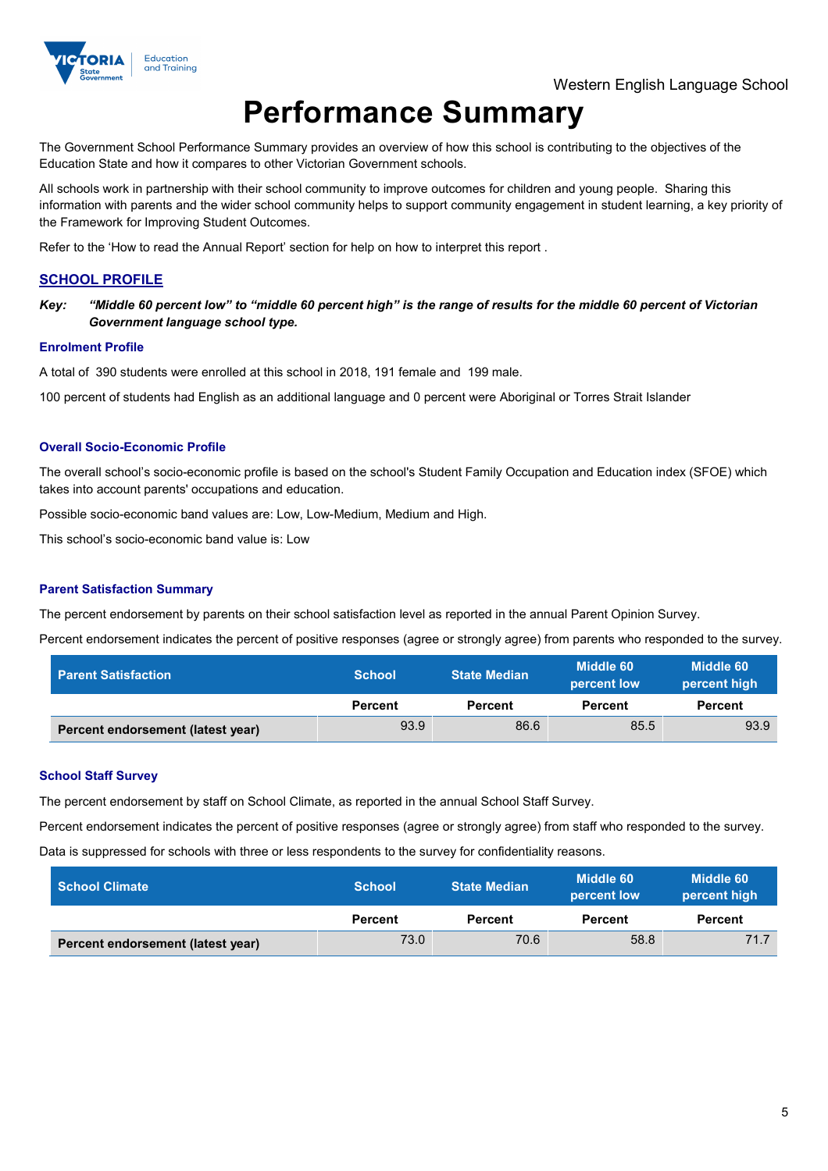

# **Performance Summary**

The Government School Performance Summary provides an overview of how this school is contributing to the objectives of the Education State and how it compares to other Victorian Government schools.

All schools work in partnership with their school community to improve outcomes for children and young people. Sharing this information with parents and the wider school community helps to support community engagement in student learning, a key priority of the Framework for Improving Student Outcomes.

Refer to the 'How to read the Annual Report' section for help on how to interpret this report .

## **SCHOOL PROFILE**

*Key: "Middle 60 percent low" to "middle 60 percent high" is the range of results for the middle 60 percent of Victorian Government language school type.*

#### **Enrolment Profile**

A total of 390 students were enrolled at this school in 2018, 191 female and 199 male.

100 percent of students had English as an additional language and 0 percent were Aboriginal or Torres Strait Islander

#### **Overall Socio-Economic Profile**

The overall school's socio-economic profile is based on the school's Student Family Occupation and Education index (SFOE) which takes into account parents' occupations and education.

Possible socio-economic band values are: Low, Low-Medium, Medium and High.

This school's socio-economic band value is: Low

#### **Parent Satisfaction Summary**

The percent endorsement by parents on their school satisfaction level as reported in the annual Parent Opinion Survey.

Percent endorsement indicates the percent of positive responses (agree or strongly agree) from parents who responded to the survey.

| <b>Parent Satisfaction</b>        | <b>School</b>  | <b>State Median</b> | Middle 60<br>percent low | Middle 60<br>percent high |
|-----------------------------------|----------------|---------------------|--------------------------|---------------------------|
|                                   | <b>Percent</b> | <b>Percent</b>      | <b>Percent</b>           | <b>Percent</b>            |
| Percent endorsement (latest year) | 93.9           | 86.6                | 85.5                     | 93.9                      |

#### **School Staff Survey**

The percent endorsement by staff on School Climate, as reported in the annual School Staff Survey.

Percent endorsement indicates the percent of positive responses (agree or strongly agree) from staff who responded to the survey. Data is suppressed for schools with three or less respondents to the survey for confidentiality reasons.

| <b>School Climate</b>             | <b>School</b>  | <b>State Median</b> | Middle 60<br>percent low | Middle 60<br>percent high |
|-----------------------------------|----------------|---------------------|--------------------------|---------------------------|
|                                   | <b>Percent</b> | Percent             | Percent                  | Percent                   |
| Percent endorsement (latest year) | 73.0           | 70.6                | 58.8                     | 71.7                      |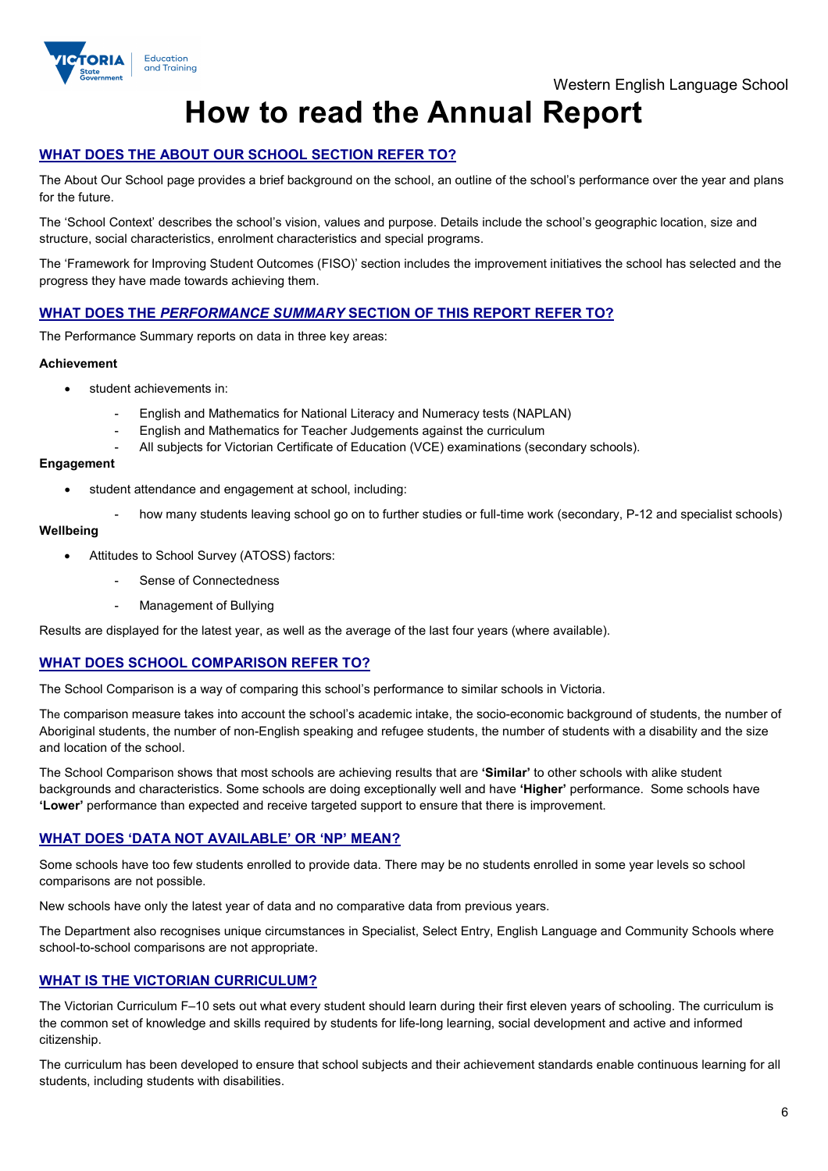

## **How to read the Annual Report**

## **WHAT DOES THE ABOUT OUR SCHOOL SECTION REFER TO?**

The About Our School page provides a brief background on the school, an outline of the school's performance over the year and plans for the future.

The 'School Context' describes the school's vision, values and purpose. Details include the school's geographic location, size and structure, social characteristics, enrolment characteristics and special programs.

The 'Framework for Improving Student Outcomes (FISO)' section includes the improvement initiatives the school has selected and the progress they have made towards achieving them.

## **WHAT DOES THE** *PERFORMANCE SUMMARY* **SECTION OF THIS REPORT REFER TO?**

The Performance Summary reports on data in three key areas:

#### **Achievement**

- student achievements in:
	- English and Mathematics for National Literacy and Numeracy tests (NAPLAN)
	- English and Mathematics for Teacher Judgements against the curriculum
	- All subjects for Victorian Certificate of Education (VCE) examinations (secondary schools).

#### **Engagement**

- student attendance and engagement at school, including:
	- how many students leaving school go on to further studies or full-time work (secondary, P-12 and specialist schools)

#### **Wellbeing**

- Attitudes to School Survey (ATOSS) factors:
	- Sense of Connectedness
	- Management of Bullying

Results are displayed for the latest year, as well as the average of the last four years (where available).

## **WHAT DOES SCHOOL COMPARISON REFER TO?**

The School Comparison is a way of comparing this school's performance to similar schools in Victoria.

The comparison measure takes into account the school's academic intake, the socio-economic background of students, the number of Aboriginal students, the number of non-English speaking and refugee students, the number of students with a disability and the size and location of the school.

The School Comparison shows that most schools are achieving results that are **'Similar'** to other schools with alike student backgrounds and characteristics. Some schools are doing exceptionally well and have **'Higher'** performance. Some schools have **'Lower'** performance than expected and receive targeted support to ensure that there is improvement.

#### **WHAT DOES 'DATA NOT AVAILABLE' OR 'NP' MEAN?**

Some schools have too few students enrolled to provide data. There may be no students enrolled in some year levels so school comparisons are not possible.

New schools have only the latest year of data and no comparative data from previous years.

The Department also recognises unique circumstances in Specialist, Select Entry, English Language and Community Schools where school-to-school comparisons are not appropriate.

## **WHAT IS THE VICTORIAN CURRICULUM?**

The Victorian Curriculum F–10 sets out what every student should learn during their first eleven years of schooling. The curriculum is the common set of knowledge and skills required by students for life-long learning, social development and active and informed citizenship.

The curriculum has been developed to ensure that school subjects and their achievement standards enable continuous learning for all students, including students with disabilities.